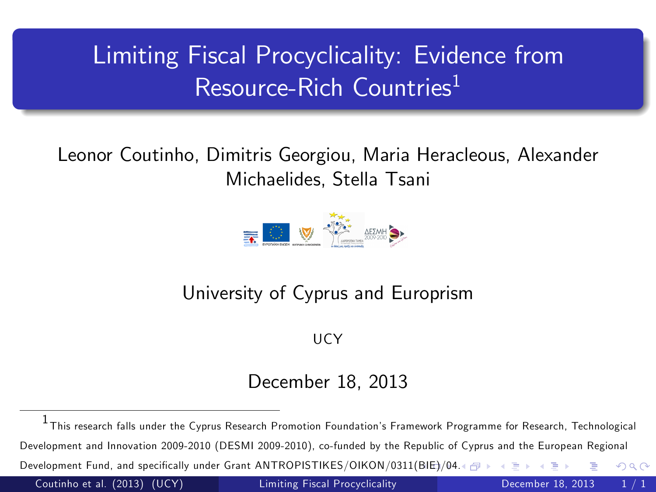# Limiting Fiscal Procyclicality: Evidence from Resource-Rich Countries<sup>1</sup>

#### Leonor Coutinho, Dimitris Georgiou, Maria Heracleous, Alexander Michaelides, Stella Tsani



#### University of Cyprus and Europrism

<span id="page-0-0"></span>UCY

#### December 18, 2013

1 This research falls under the Cyprus Research Promotion Foundationís Framework Programme for Research, Technological Development and Innovation 2009-2010 (DESMI 2009-2010), co-funded by the Republic of Cyprus and the European Regional Development Fund, and specifically under Grant ANTROPISTIKES/OIKON/0311[\(BIE](#page-0-0))[/04.](#page-0-0)4  $\Omega$ 

Coutinho et al. (2013) (UCY) [Limiting Fiscal Procyclicality](#page-0-0) December 18, 2013 1 / 1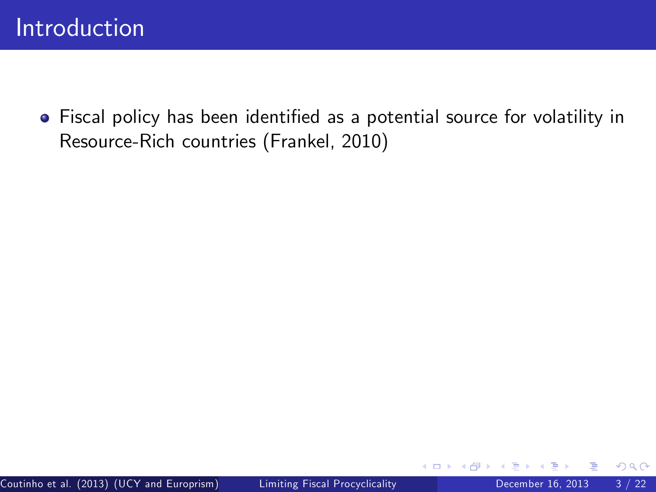• Fiscal policy has been identified as a potential source for volatility in Resource-Rich countries (Frankel, 2010)

4 0 8

 $QQ$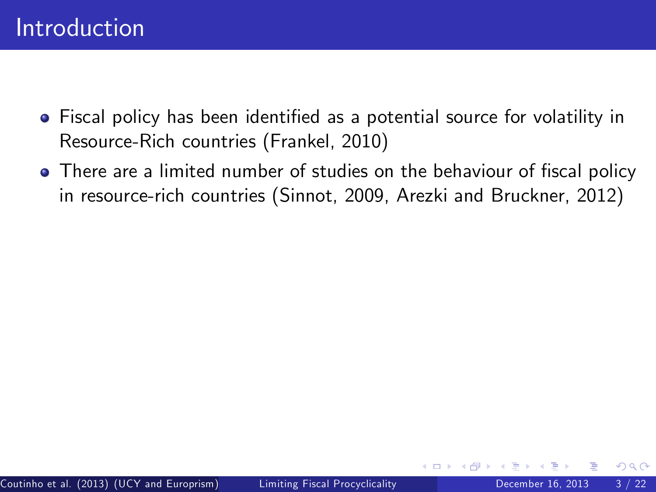- Fiscal policy has been identified as a potential source for volatility in Resource-Rich countries (Frankel, 2010)
- There are a limited number of studies on the behaviour of fiscal policy in resource-rich countries (Sinnot, 2009, Arezki and Bruckner, 2012)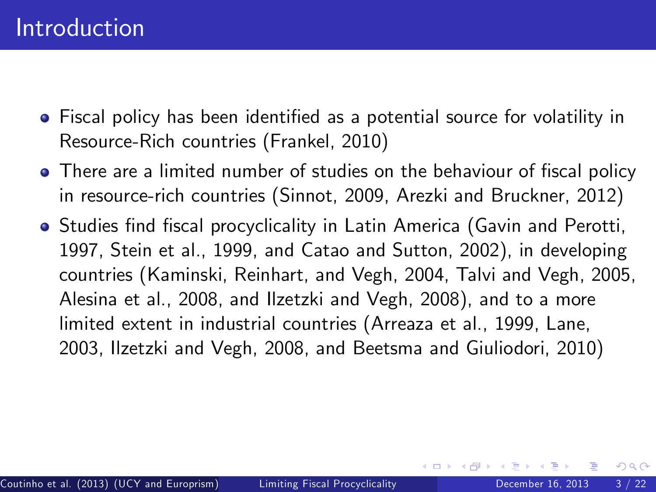- Fiscal policy has been identified as a potential source for volatility in Resource-Rich countries (Frankel, 2010)
- There are a limited number of studies on the behaviour of fiscal policy in resource-rich countries (Sinnot, 2009, Arezki and Bruckner, 2012)
- Studies find fiscal procyclicality in Latin America (Gavin and Perotti, 1997, Stein et al., 1999, and Catao and Sutton, 2002), in developing countries (Kaminski, Reinhart, and Vegh, 2004, Talvi and Vegh, 2005, Alesina et al., 2008, and Ilzetzki and Vegh, 2008), and to a more limited extent in industrial countries (Arreaza et al., 1999, Lane, 2003, Ilzetzki and Vegh, 2008, and Beetsma and Giuliodori, 2010)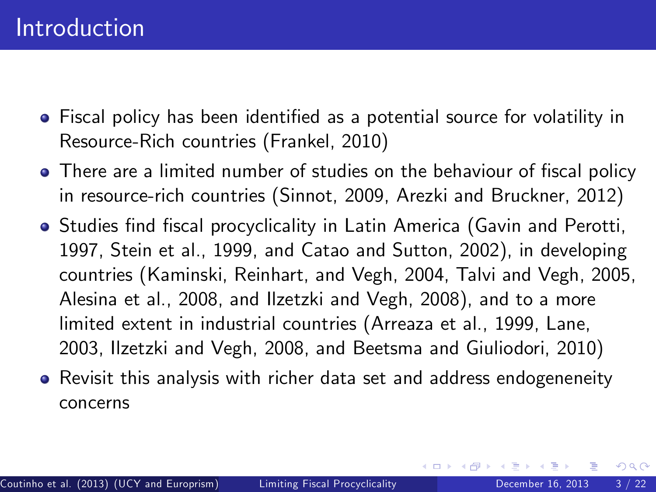- Fiscal policy has been identified as a potential source for volatility in Resource-Rich countries (Frankel, 2010)
- There are a limited number of studies on the behaviour of fiscal policy in resource-rich countries (Sinnot, 2009, Arezki and Bruckner, 2012)
- Studies find fiscal procyclicality in Latin America (Gavin and Perotti, 1997, Stein et al., 1999, and Catao and Sutton, 2002), in developing countries (Kaminski, Reinhart, and Vegh, 2004, Talvi and Vegh, 2005, Alesina et al., 2008, and Ilzetzki and Vegh, 2008), and to a more limited extent in industrial countries (Arreaza et al., 1999, Lane, 2003, Ilzetzki and Vegh, 2008, and Beetsma and Giuliodori, 2010)
- Revisit this analysis with richer data set and address endogeneneity concerns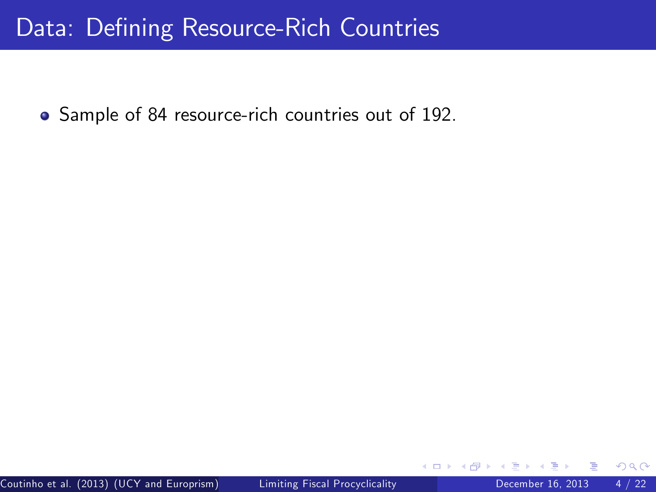#### Data: Defining Resource-Rich Countries

• Sample of 84 resource-rich countries out of 192.

**∢ ⊡** 

 $QQ$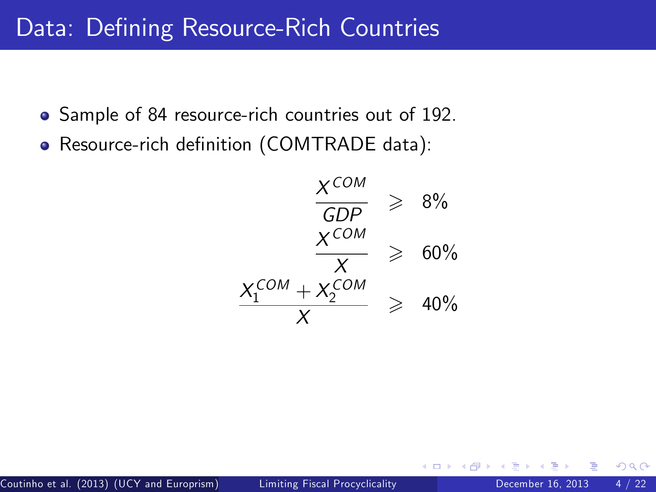#### Data: Defining Resource-Rich Countries

- Sample of 84 resource-rich countries out of 192.
- Resource-rich definition (COMTRADE data):



 $QQ$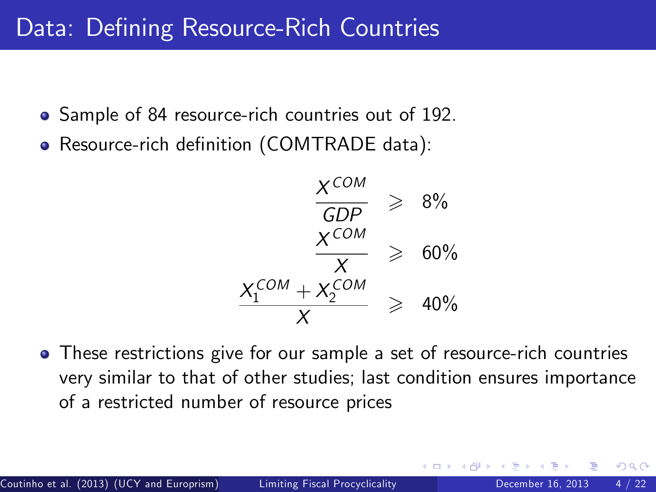#### Data: Defining Resource-Rich Countries

- Sample of 84 resource-rich countries out of 192.
- Resource-rich definition (COMTRADE data):



• These restrictions give for our sample a set of resource-rich countries very similar to that of other studies; last condition ensures importance of a restricted number of resource prices

 $QQQ$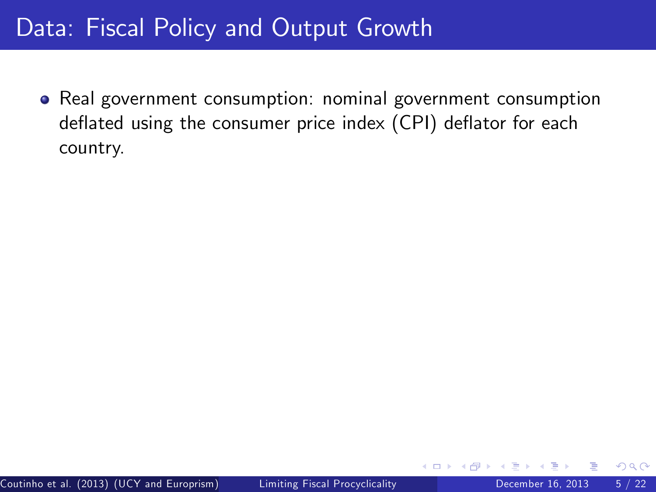Real government consumption: nominal government consumption deflated using the consumer price index (CPI) deflator for each country.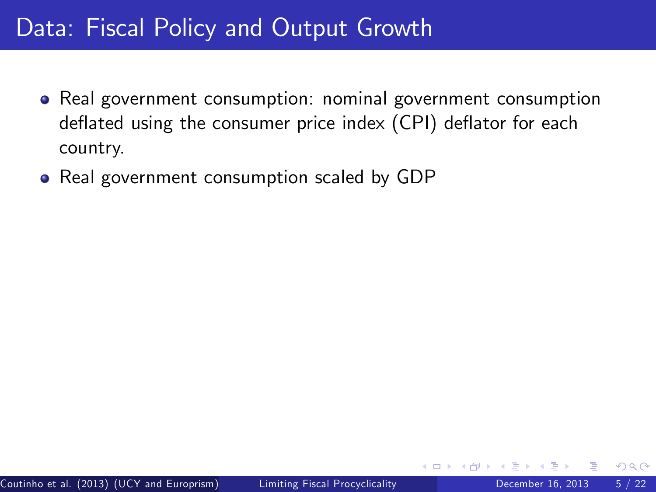- Real government consumption: nominal government consumption deflated using the consumer price index (CPI) deflator for each country.
- Real government consumption scaled by GDP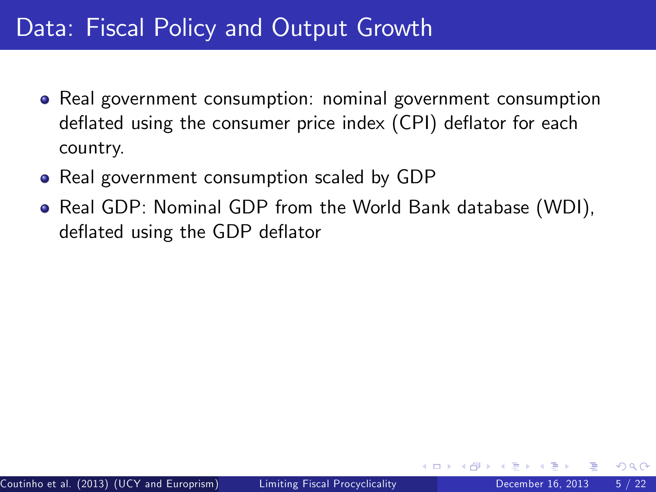- Real government consumption: nominal government consumption deflated using the consumer price index (CPI) deflator for each country.
- Real government consumption scaled by GDP
- Real GDP: Nominal GDP from the World Bank database (WDI), deflated using the GDP deflator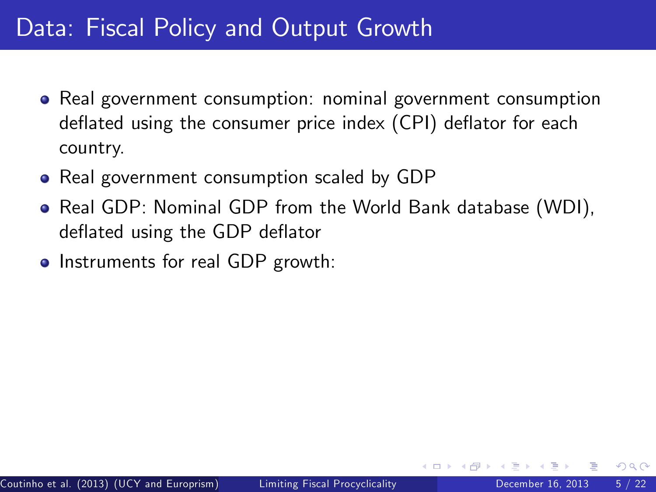- Real government consumption: nominal government consumption deflated using the consumer price index (CPI) deflator for each country.
- Real government consumption scaled by GDP
- Real GDP: Nominal GDP from the World Bank database (WDI), deflated using the GDP deflator
- Instruments for real GDP growth: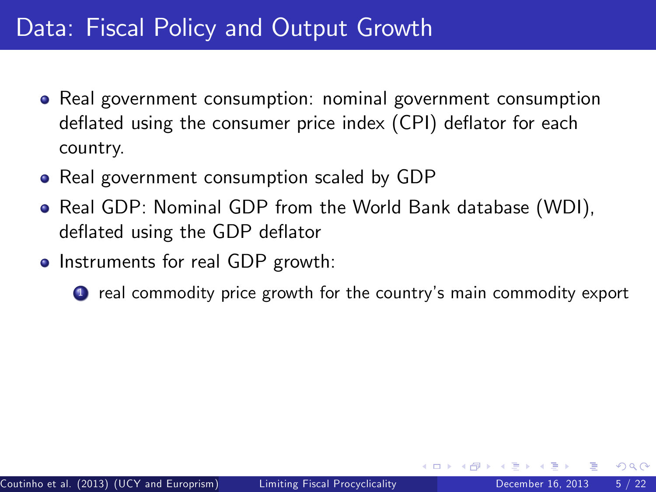- Real government consumption: nominal government consumption deflated using the consumer price index (CPI) deflator for each country.
- Real government consumption scaled by GDP
- Real GDP: Nominal GDP from the World Bank database (WDI), deflated using the GDP deflator
- Instruments for real GDP growth:

**1** real commodity price growth for the country's main commodity export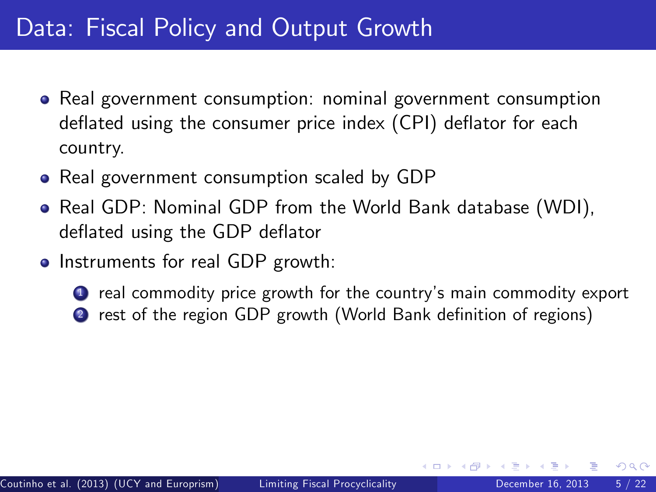- Real government consumption: nominal government consumption deflated using the consumer price index (CPI) deflator for each country.
- Real government consumption scaled by GDP
- Real GDP: Nominal GDP from the World Bank database (WDI), deflated using the GDP deflator
- Instruments for real GDP growth:

**1** real commodity price growth for the country's main commodity export 2 rest of the region GDP growth (World Bank definition of regions)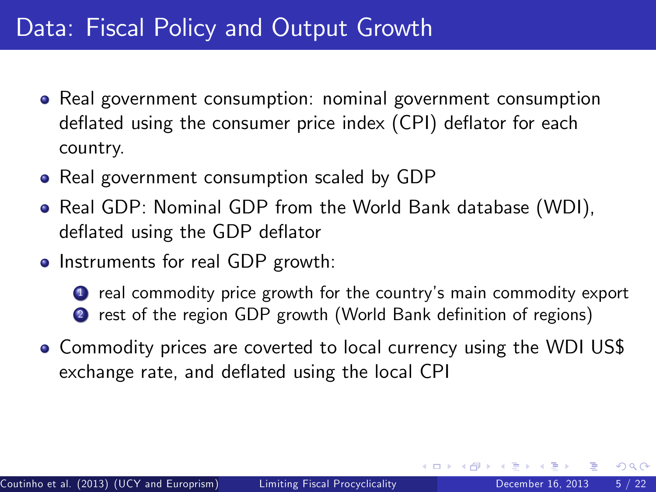- Real government consumption: nominal government consumption deflated using the consumer price index (CPI) deflator for each country.
- Real government consumption scaled by GDP
- Real GDP: Nominal GDP from the World Bank database (WDI), deflated using the GDP deflator
- Instruments for real GDP growth:

**1** real commodity price growth for the country's main commodity export 2 rest of the region GDP growth (World Bank definition of regions)

• Commodity prices are coverted to local currency using the WDI US\$ exchange rate, and deflated using the local CPI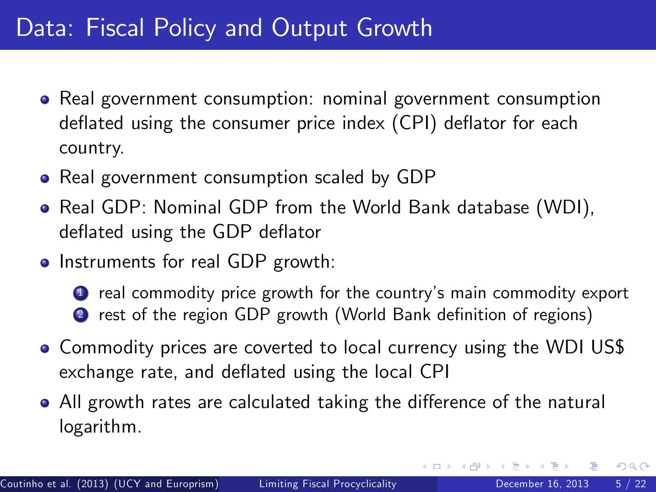- Real government consumption: nominal government consumption deflated using the consumer price index (CPI) deflator for each country.
- Real government consumption scaled by GDP
- Real GDP: Nominal GDP from the World Bank database (WDI), deflated using the GDP deflator
- Instruments for real GDP growth:

**1** real commodity price growth for the country's main commodity export 2 rest of the region GDP growth (World Bank definition of regions)

- Commodity prices are coverted to local currency using the WDI US\$ exchange rate, and deflated using the local CPI
- All growth rates are calculated taking the difference of the natural logarithm.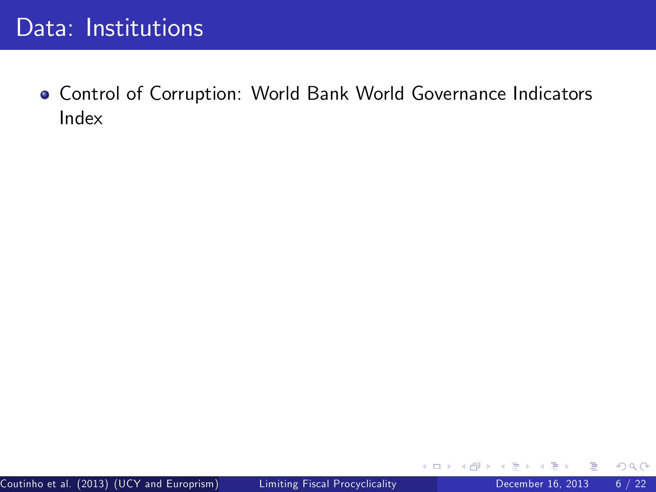Control of Corruption: World Bank World Governance Indicators Index

4 0 8

 $QQ$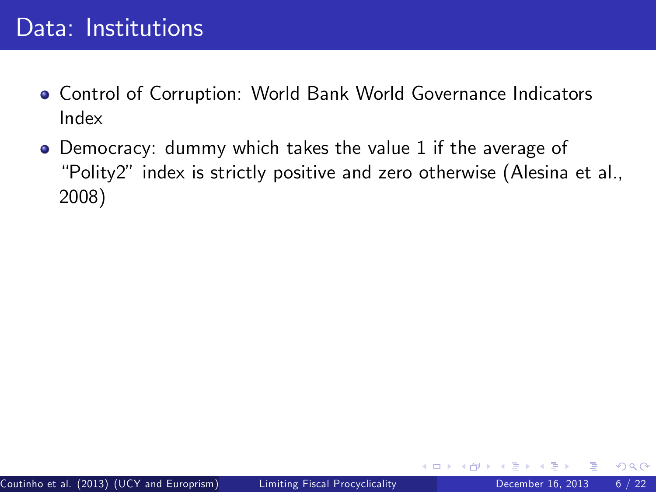- Control of Corruption: World Bank World Governance Indicators Index
- Democracy: dummy which takes the value 1 if the average of  $\degree$ Polity2" index is strictly positive and zero otherwise (Alesina et al., 2008)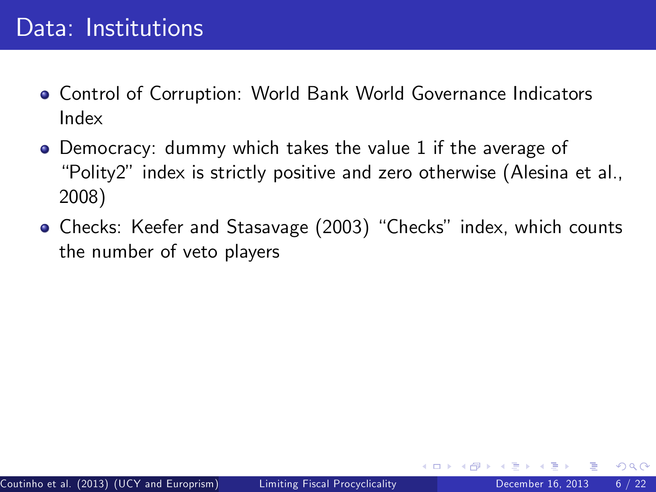- Control of Corruption: World Bank World Governance Indicators Index
- Democracy: dummy which takes the value 1 if the average of ìPolity2î index is strictly positive and zero otherwise (Alesina et al., 2008)
- Checks: Keefer and Stasavage (2003) "Checks" index, which counts the number of veto players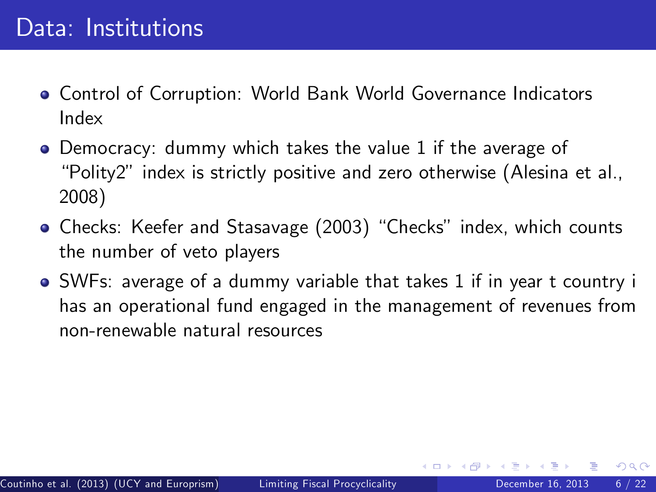- Control of Corruption: World Bank World Governance Indicators Index
- Democracy: dummy which takes the value 1 if the average of ìPolity2î index is strictly positive and zero otherwise (Alesina et al., 2008)
- Checks: Keefer and Stasavage (2003) "Checks" index, which counts the number of veto players
- SWFs: average of a dummy variable that takes 1 if in year t country i has an operational fund engaged in the management of revenues from non-renewable natural resources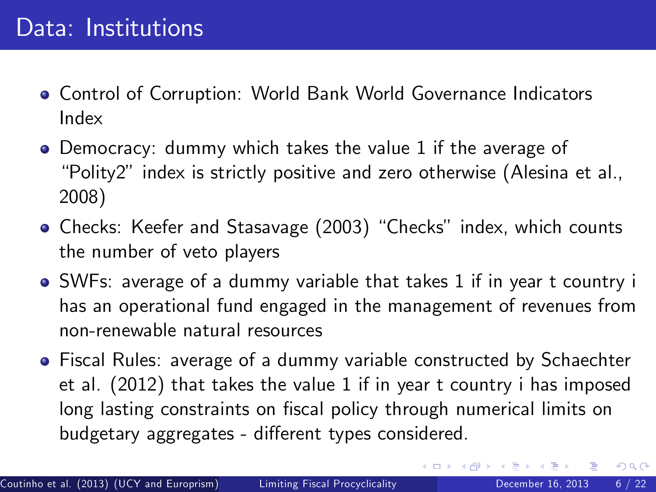- Control of Corruption: World Bank World Governance Indicators Index
- Democracy: dummy which takes the value 1 if the average of ìPolity2î index is strictly positive and zero otherwise (Alesina et al., 2008)
- Checks: Keefer and Stasavage (2003) "Checks" index, which counts the number of veto players
- SWFs: average of a dummy variable that takes 1 if in year t country i has an operational fund engaged in the management of revenues from non-renewable natural resources
- Fiscal Rules: average of a dummy variable constructed by Schaechter et al. (2012) that takes the value 1 if in year t country i has imposed long lasting constraints on fiscal policy through numerical limits on budgetary aggregates - different types considered.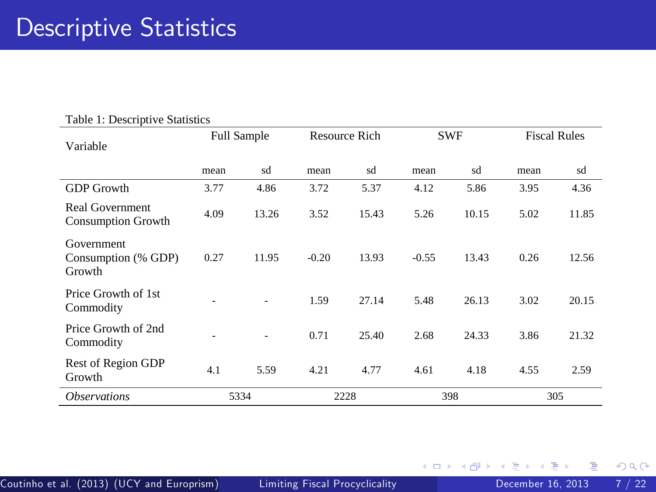| Variable                                     |      | <b>Full Sample</b>       |         | <b>Resource Rich</b> |         | <b>SWF</b> |      | <b>Fiscal Rules</b> |
|----------------------------------------------|------|--------------------------|---------|----------------------|---------|------------|------|---------------------|
|                                              | mean | sd                       | mean    | sd                   | mean    | sd         | mean | sd                  |
| <b>GDP</b> Growth                            | 3.77 | 4.86                     | 3.72    | 5.37                 | 4.12    | 5.86       | 3.95 | 4.36                |
| Real Government<br><b>Consumption Growth</b> | 4.09 | 13.26                    | 3.52    | 15.43                | 5.26    | 10.15      | 5.02 | 11.85               |
| Government<br>Consumption (% GDP)<br>Growth  | 0.27 | 11.95                    | $-0.20$ | 13.93                | $-0.55$ | 13.43      | 0.26 | 12.56               |
| Price Growth of 1st<br>Commodity             |      |                          | 1.59    | 27.14                | 5.48    | 26.13      | 3.02 | 20.15               |
| Price Growth of 2nd<br>Commodity             |      | $\overline{\phantom{a}}$ | 0.71    | 25.40                | 2.68    | 24.33      | 3.86 | 21.32               |
| Rest of Region GDP<br>Growth                 | 4.1  | 5.59                     | 4.21    | 4.77                 | 4.61    | 4.18       | 4.55 | 2.59                |
| <i><b>Observations</b></i>                   |      | 5334                     |         | 2228                 |         | 398        |      | 305                 |

#### Table 1: Descriptive Statistics

 $\sim$ 

э

**4 ロト 4 何 ト 4**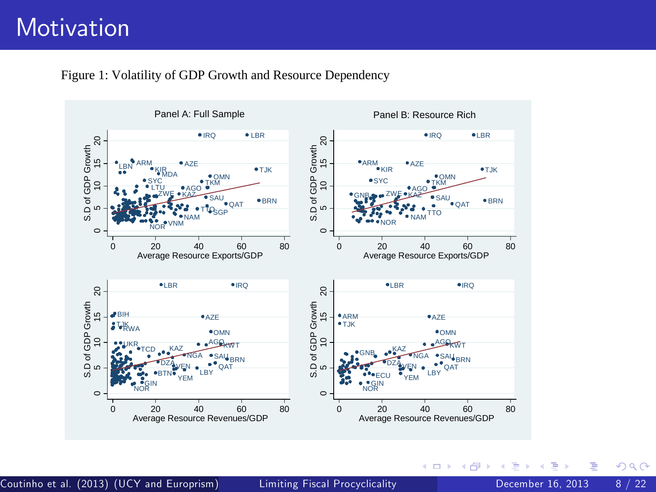Figure 1: Volatility of GDP Growth and Resource Dependency



4 D F ×. ×  $299$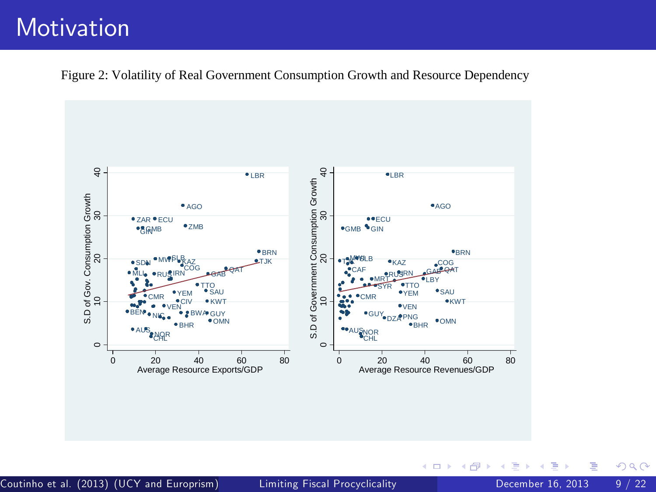Figure 2: Volatility of Real Government Consumption Growth and Resource Dependency



 $\leftarrow$ 

×.

 $299$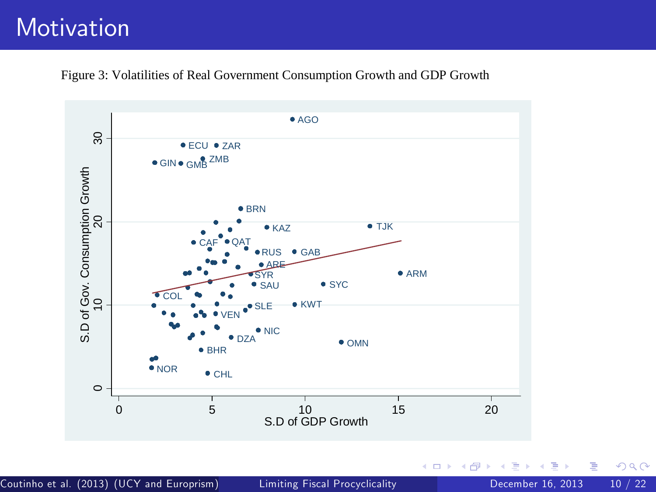Figure 3: Volatilities of Real Government Consumption Growth and GDP Growth



 $\Box$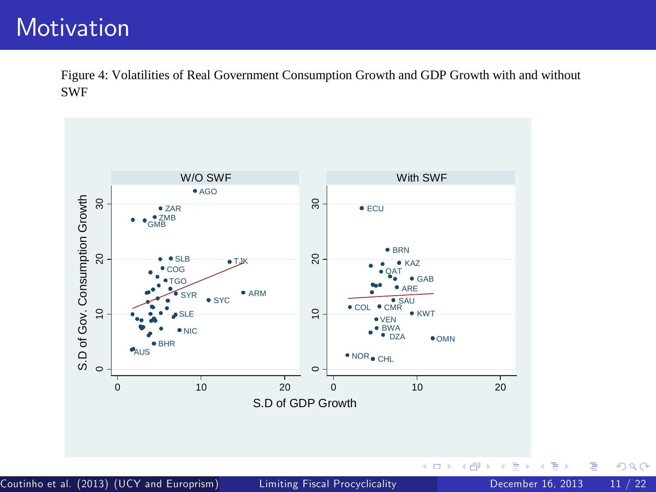Figure 4: Volatilities of Real Government Consumption Growth and GDP Growth with and without SWF

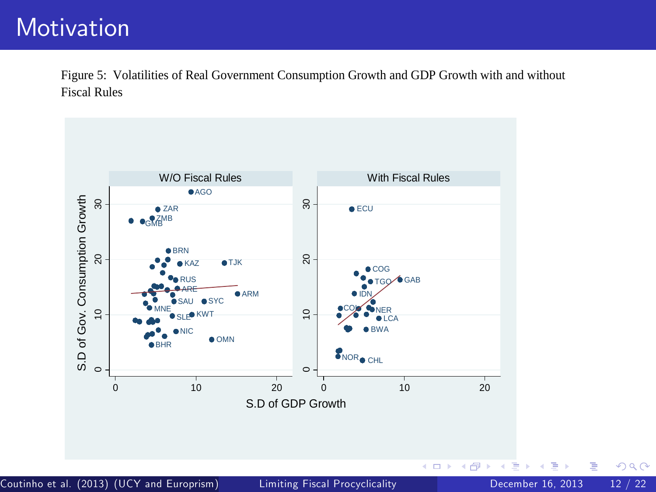Figure 5: Volatilities of Real Government Consumption Growth and GDP Growth with and without Fiscal Rules



 $299$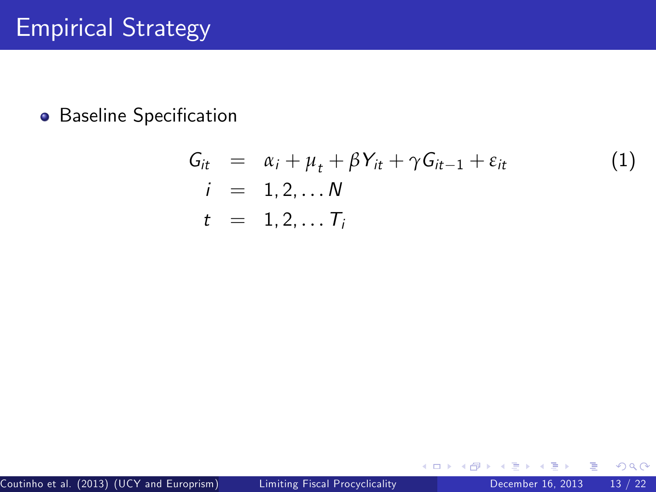#### **•** Baseline Specification

$$
G_{it} = \alpha_i + \mu_t + \beta Y_{it} + \gamma G_{it-1} + \varepsilon_{it}
$$
  
\n
$$
i = 1, 2, \dots N
$$
  
\n
$$
t = 1, 2, \dots T_i
$$
  
\n(1)

4 0 8

э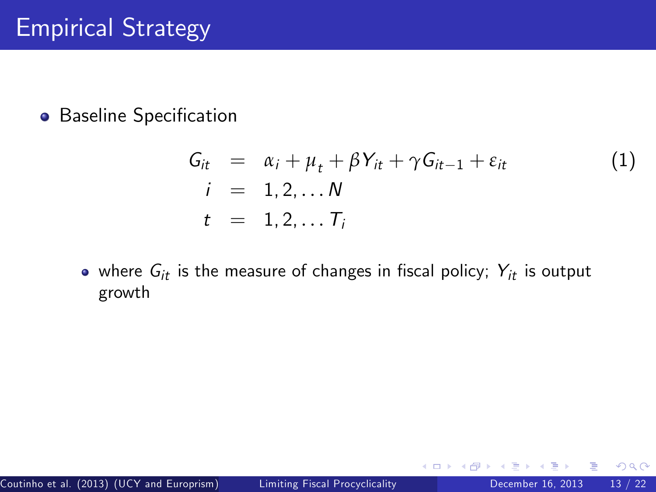#### **•** Baseline Specification

$$
G_{it} = \alpha_i + \mu_t + \beta Y_{it} + \gamma G_{it-1} + \varepsilon_{it}
$$
  
\n
$$
i = 1, 2, \dots N
$$
  
\n
$$
t = 1, 2, \dots T_i
$$
  
\n(1)

4 D F

• where  $G_{it}$  is the measure of changes in fiscal policy;  $Y_{it}$  is output growth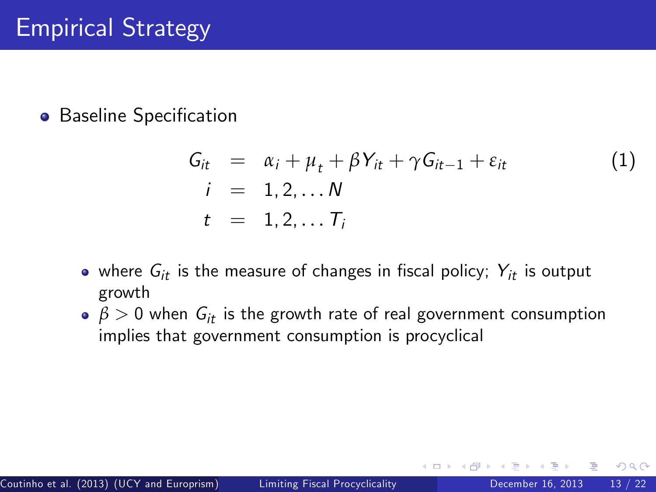#### **•** Baseline Specification

$$
G_{it} = \alpha_i + \mu_t + \beta Y_{it} + \gamma G_{it-1} + \varepsilon_{it}
$$
  
\n
$$
i = 1, 2, \dots N
$$
  
\n
$$
t = 1, 2, \dots T_i
$$
  
\n(1)

- where  $G_{it}$  is the measure of changes in fiscal policy;  $Y_{it}$  is output growth
- **•**  $\beta > 0$  when  $G_{it}$  is the growth rate of real government consumption implies that government consumption is procyclical

つへへ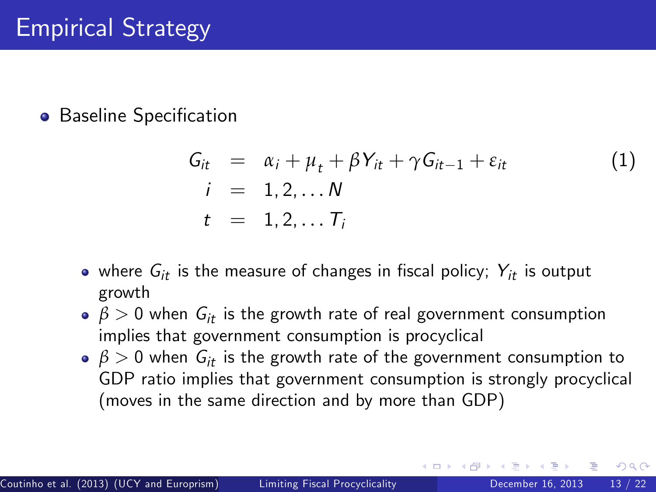#### **•** Baseline Specification

$$
G_{it} = \alpha_i + \mu_t + \beta Y_{it} + \gamma G_{it-1} + \varepsilon_{it}
$$
  
\n
$$
i = 1, 2, \dots N
$$
  
\n
$$
t = 1, 2, \dots T_i
$$
  
\n(1)

- where  $G_{it}$  is the measure of changes in fiscal policy;  $Y_{it}$  is output growth
- **•**  $\beta > 0$  when  $G_{it}$  is the growth rate of real government consumption implies that government consumption is procyclical
- $\beta$  > 0 when  $G_{it}$  is the growth rate of the government consumption to GDP ratio implies that government consumption is strongly procyclical (moves in the same direction and by more than GDP)

つへへ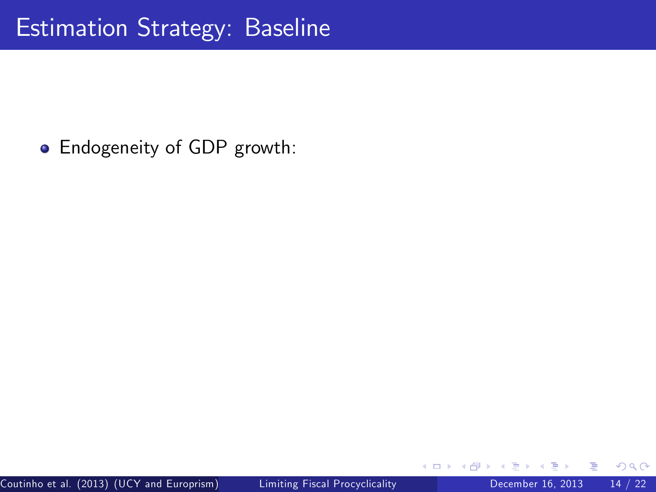**•** Endogeneity of GDP growth:

4 0 8

э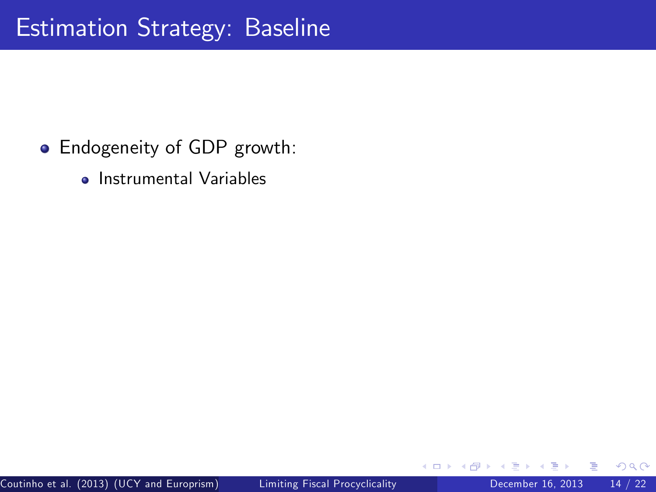- Endogeneity of GDP growth:
	- Instrumental Variables

 $\leftarrow$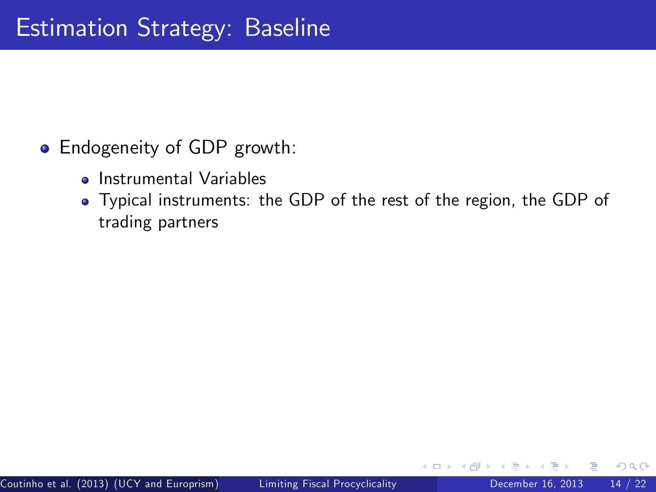- **•** Endogeneity of GDP growth:
	- **o** Instrumental Variables
	- Typical instruments: the GDP of the rest of the region, the GDP of trading partners

4 D F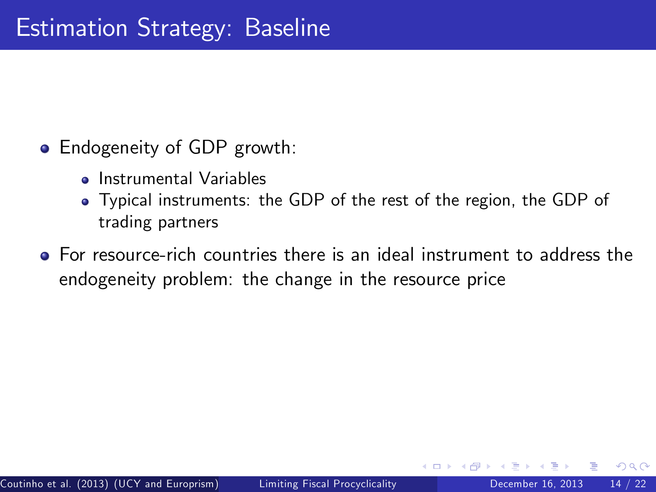- Endogeneity of GDP growth:
	- **o** Instrumental Variables
	- Typical instruments: the GDP of the rest of the region, the GDP of trading partners
- For resource-rich countries there is an ideal instrument to address the endogeneity problem: the change in the resource price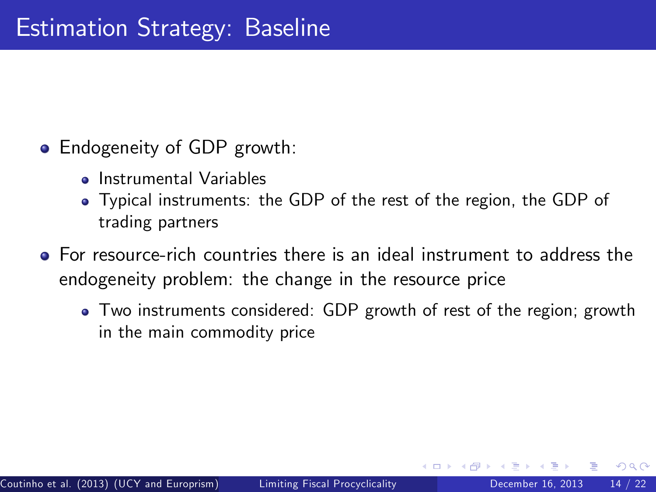- Endogeneity of GDP growth:
	- **o** Instrumental Variables
	- Typical instruments: the GDP of the rest of the region, the GDP of trading partners
- For resource-rich countries there is an ideal instrument to address the endogeneity problem: the change in the resource price
	- Two instruments considered: GDP growth of rest of the region; growth in the main commodity price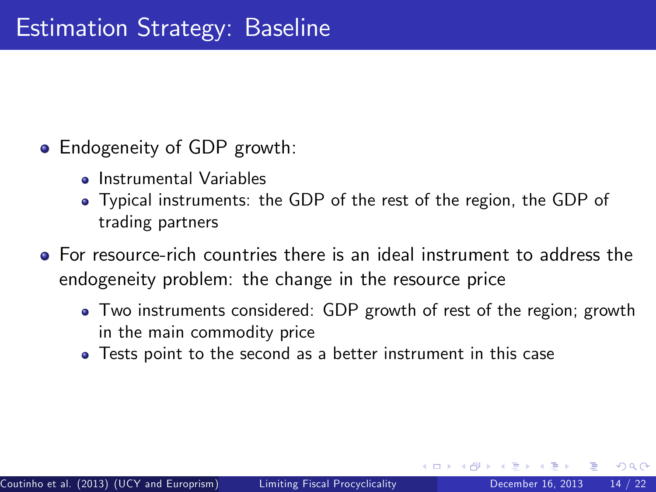- Endogeneity of GDP growth:
	- **o** Instrumental Variables
	- Typical instruments: the GDP of the rest of the region, the GDP of trading partners
- For resource-rich countries there is an ideal instrument to address the endogeneity problem: the change in the resource price
	- Two instruments considered: GDP growth of rest of the region; growth in the main commodity price
	- Tests point to the second as a better instrument in this case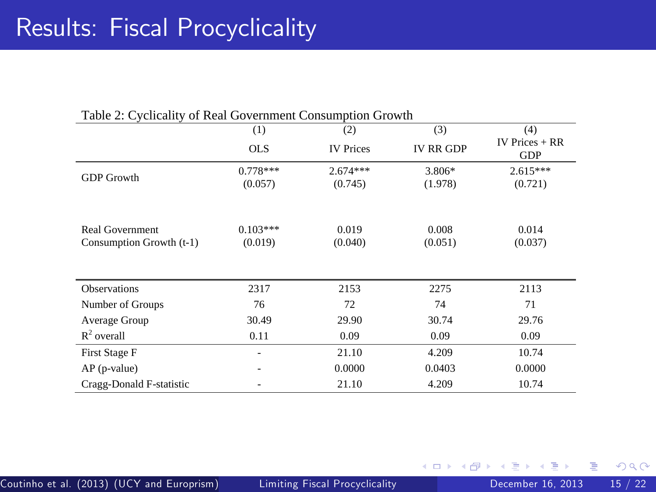#### Results: Fiscal Procyclicality

| raoic 2. Cycheanty of iteal Governmein Consumption Growth |                       |                  |                  |                                |
|-----------------------------------------------------------|-----------------------|------------------|------------------|--------------------------------|
|                                                           | (1)                   | (2)              | (3)              | (4)                            |
|                                                           | <b>OLS</b>            | <b>IV</b> Prices | <b>IV RR GDP</b> | IV Prices $+ RR$<br><b>GDP</b> |
| <b>GDP</b> Growth                                         | $0.778***$            | $2.674***$       | 3.806*           | $2.615***$                     |
|                                                           | (0.057)               | (0.745)          | (1.978)          | (0.721)                        |
| Real Government<br>Consumption Growth (t-1)               | $0.103***$<br>(0.019) | 0.019<br>(0.040) | 0.008<br>(0.051) | 0.014<br>(0.037)               |
| Observations                                              | 2317                  | 2153             | 2275             | 2113                           |
| Number of Groups                                          | 76                    | 72               | 74               | 71                             |
| Average Group                                             | 30.49                 | 29.90            | 30.74            | 29.76                          |
| $R^2$ overall                                             | 0.11                  | 0.09             | 0.09             | 0.09                           |
| First Stage F                                             | ۰                     | 21.10            | 4.209            | 10.74                          |
| $AP$ (p-value)                                            | ۰                     | 0.0000           | 0.0403           | 0.0000                         |
| Cragg-Donald F-statistic                                  |                       | 21.10            | 4.209            | 10.74                          |

#### Table 2: Cyclicality of Real Government Consumption Growth

4 0 8 ∢ 母 э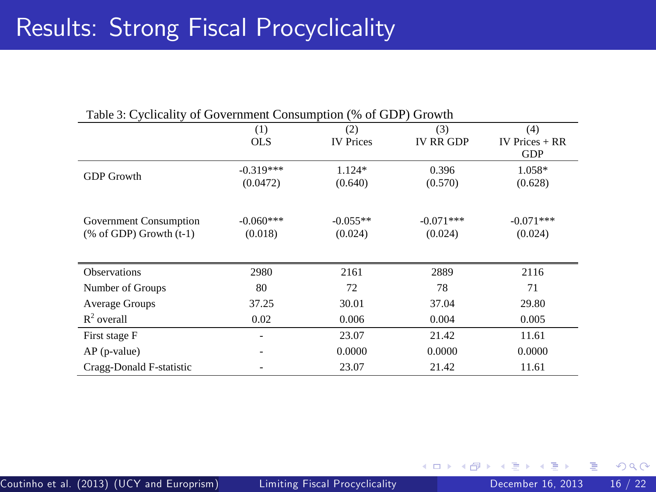#### Results: Strong Fiscal Procyclicality

|                                                                           | Table 3: Cyclicality of Government Consumption (% of GDP) Growth |                         |                         |                                       |  |  |
|---------------------------------------------------------------------------|------------------------------------------------------------------|-------------------------|-------------------------|---------------------------------------|--|--|
|                                                                           | (1)<br><b>OLS</b>                                                | (2)<br><b>IV</b> Prices | (3)<br><b>IV RR GDP</b> | (4)<br>IV Prices $+ RR$<br><b>GDP</b> |  |  |
| <b>GDP</b> Growth                                                         | $-0.319***$<br>(0.0472)                                          | $1.124*$<br>(0.640)     | 0.396<br>(0.570)        | 1.058*<br>(0.628)                     |  |  |
| Government Consumption<br>$(% \mathcal{L}_{0})$ (% of GDP) Growth $(t-1)$ | $-0.060***$<br>(0.018)                                           | $-0.055**$<br>(0.024)   | $-0.071***$<br>(0.024)  | $-0.071***$<br>(0.024)                |  |  |
| <b>Observations</b>                                                       | 2980                                                             | 2161                    | 2889                    | 2116                                  |  |  |
| Number of Groups                                                          | 80                                                               | 72                      | 78                      | 71                                    |  |  |
| Average Groups                                                            | 37.25                                                            | 30.01                   | 37.04                   | 29.80                                 |  |  |
| $R^2$ overall                                                             | 0.02                                                             | 0.006                   | 0.004                   | 0.005                                 |  |  |
| First stage F                                                             | ۰                                                                | 23.07                   | 21.42                   | 11.61                                 |  |  |
| $AP$ (p-value)                                                            |                                                                  | 0.0000                  | 0.0000                  | 0.0000                                |  |  |
| Cragg-Donald F-statistic                                                  |                                                                  | 23.07                   | 21.42                   | 11.61                                 |  |  |

4 日下

∢●

 $299$ 

活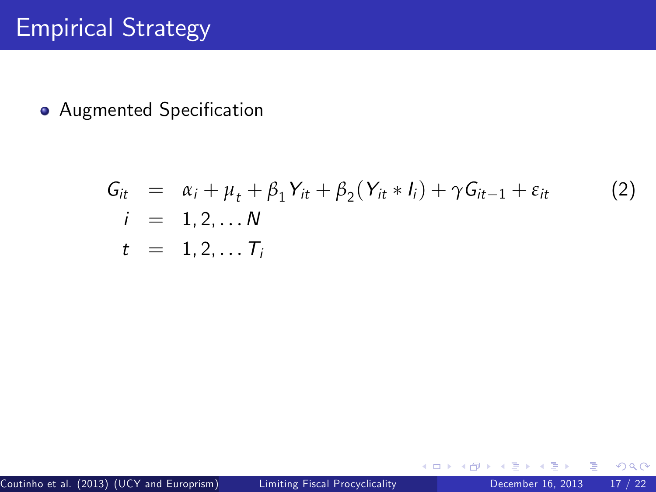**•** Augmented Specification

$$
G_{it} = \alpha_i + \mu_t + \beta_1 Y_{it} + \beta_2 (Y_{it} * I_i) + \gamma G_{it-1} + \varepsilon_{it}
$$
  
\n
$$
i = 1, 2, ... N
$$
  
\n
$$
t = 1, 2, ... T_i
$$
\n(2)

4 0 8 a. <span id="page-39-0"></span>э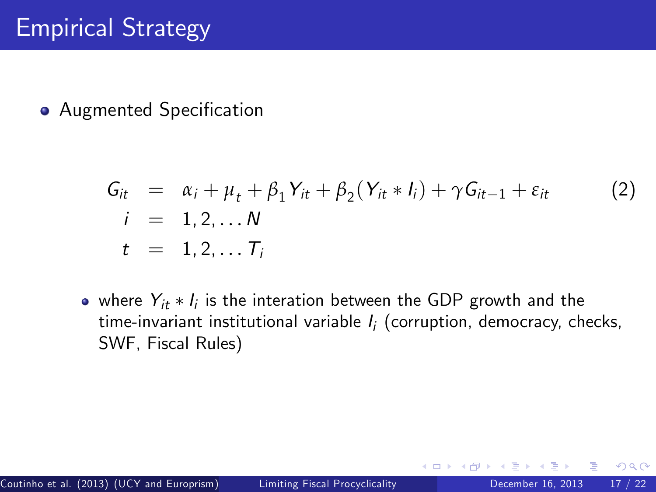• Augmented Specification

$$
G_{it} = \alpha_i + \mu_t + \beta_1 Y_{it} + \beta_2 (Y_{it} * I_i) + \gamma G_{it-1} + \varepsilon_{it}
$$
  
\n
$$
i = 1, 2, ... N
$$
  
\n
$$
t = 1, 2, ... T_i
$$
\n(2)

where  $Y_{it} * I_i$  is the interation between the GDP growth and the time-invariant institutional variable  $I_i$  (corruption, democracy, checks, SWF, Fiscal Rules)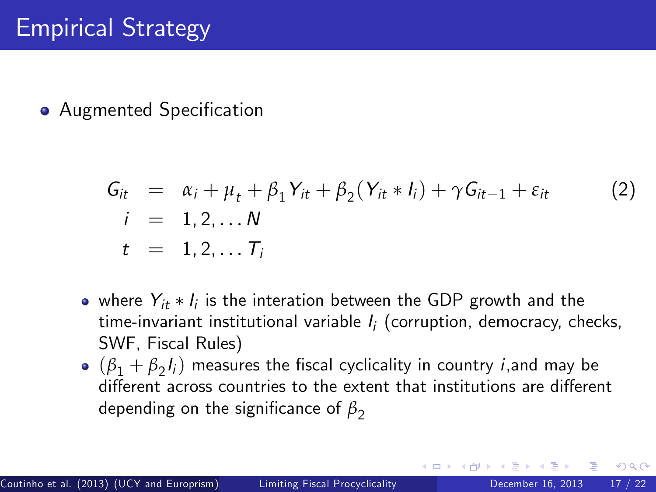• Augmented Specification

$$
G_{it} = \alpha_{i} + \mu_{t} + \beta_{1} Y_{it} + \beta_{2} (Y_{it} * I_{i}) + \gamma G_{it-1} + \varepsilon_{it}
$$
  
\n
$$
i = 1, 2, ... N
$$
  
\n
$$
t = 1, 2, ... T_{i}
$$
\n(2)

- where  $Y_{it} * I_i$  is the interation between the GDP growth and the time-invariant institutional variable  $I_i$  (corruption, democracy, checks, SWF, Fiscal Rules)
- $(\beta_1 + \beta_2 l_i)$  measures the fiscal cyclicality in country *i*,and may be different across countries to the extent that institutions are different depending on the significance of  $\beta_2$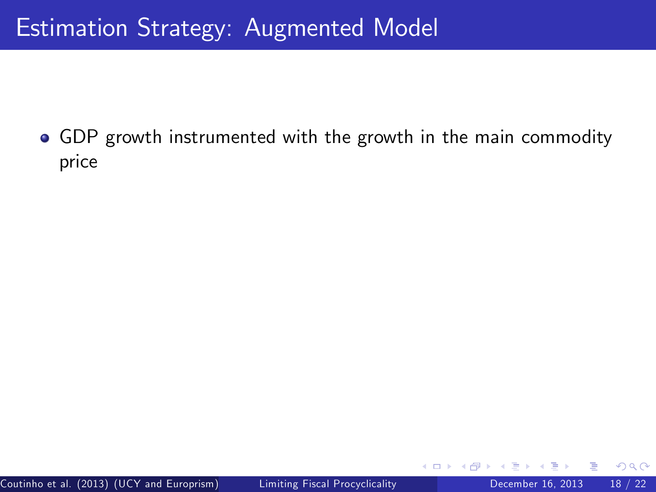GDP growth instrumented with the growth in the main commodity price

**∢ ⊡**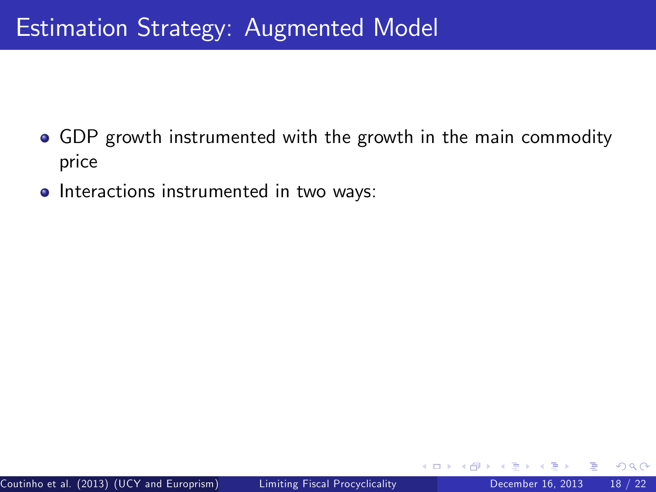- GDP growth instrumented with the growth in the main commodity price
- Interactions instrumented in two ways: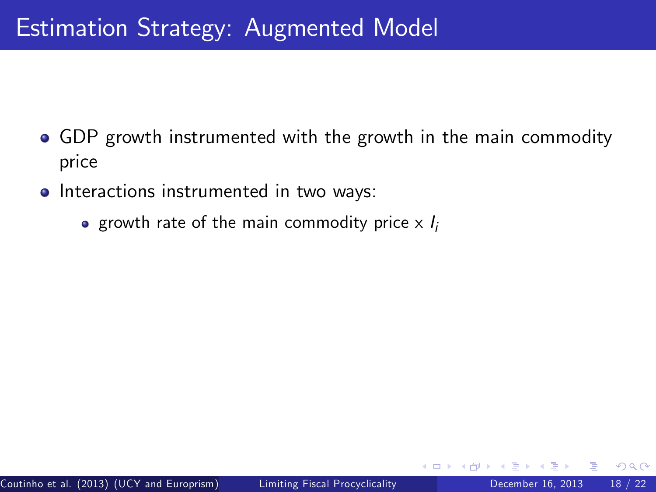- GDP growth instrumented with the growth in the main commodity price
- Interactions instrumented in two ways:
	- growth rate of the main commodity price  $\times I_i$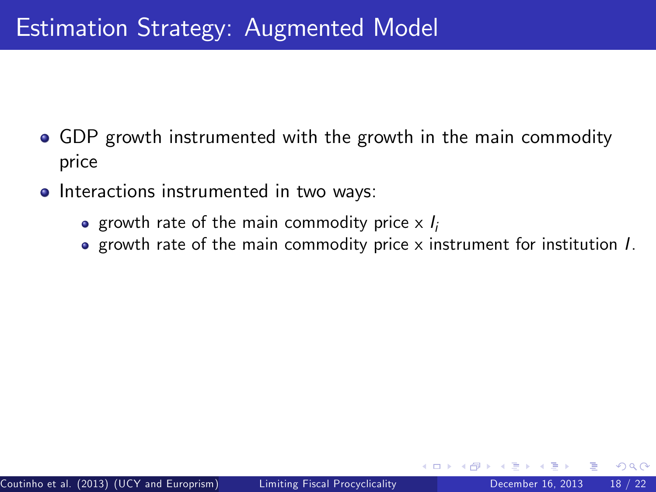- GDP growth instrumented with the growth in the main commodity price
- Interactions instrumented in two ways:
	- **•** growth rate of the main commodity price  $\times$   $I_i$
	- $\bullet$  growth rate of the main commodity price x instrument for institution *I*.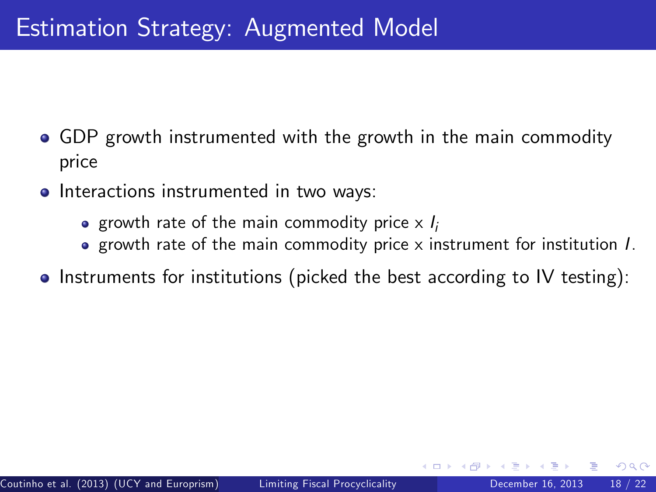- GDP growth instrumented with the growth in the main commodity price
- Interactions instrumented in two ways:
	- **•** growth rate of the main commodity price  $\times$   $I_i$
	- $\bullet$  growth rate of the main commodity price x instrument for institution *I*.
- $\bullet$  Instruments for institutions (picked the best according to IV testing):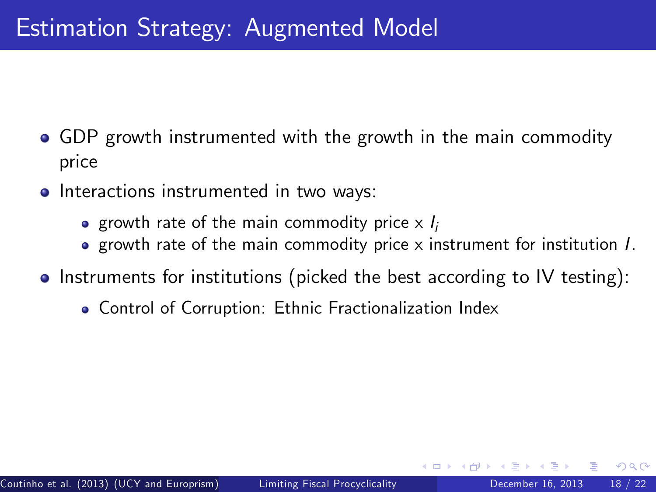- GDP growth instrumented with the growth in the main commodity price
- Interactions instrumented in two ways:
	- **•** growth rate of the main commodity price  $\times$   $I_i$
	- $\bullet$  growth rate of the main commodity price x instrument for institution *I*.
- $\bullet$  Instruments for institutions (picked the best according to IV testing):
	- Control of Corruption: Ethnic Fractionalization Index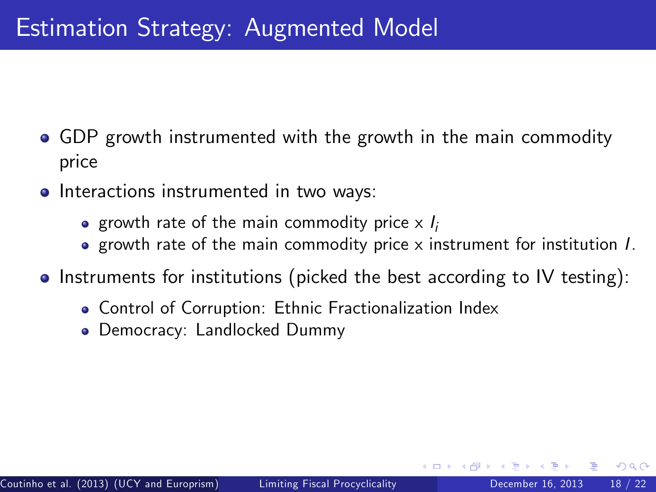- GDP growth instrumented with the growth in the main commodity price
- Interactions instrumented in two ways:
	- **•** growth rate of the main commodity price  $\times$   $I_i$
	- $\bullet$  growth rate of the main commodity price x instrument for institution *I*.
- $\bullet$  Instruments for institutions (picked the best according to IV testing):
	- Control of Corruption: Ethnic Fractionalization Index
	- Democracy: Landlocked Dummy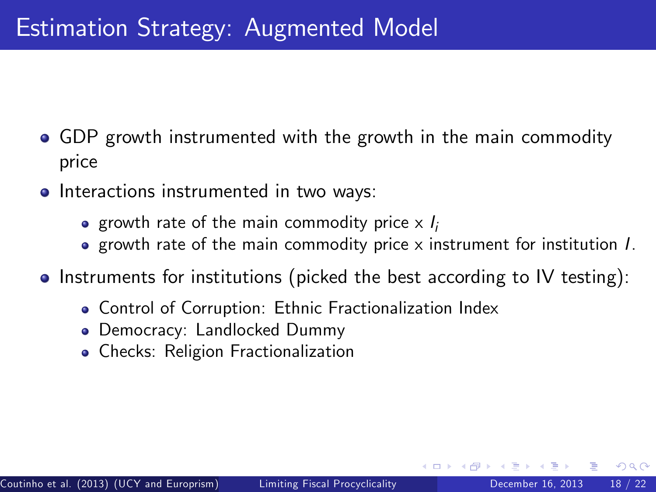- GDP growth instrumented with the growth in the main commodity price
- Interactions instrumented in two ways:
	- **•** growth rate of the main commodity price  $\times$   $I_i$
	- $\bullet$  growth rate of the main commodity price x instrument for institution *I*.
- $\bullet$  Instruments for institutions (picked the best according to IV testing):
	- Control of Corruption: Ethnic Fractionalization Index
	- Democracy: Landlocked Dummy
	- Checks: Religion Fractionalization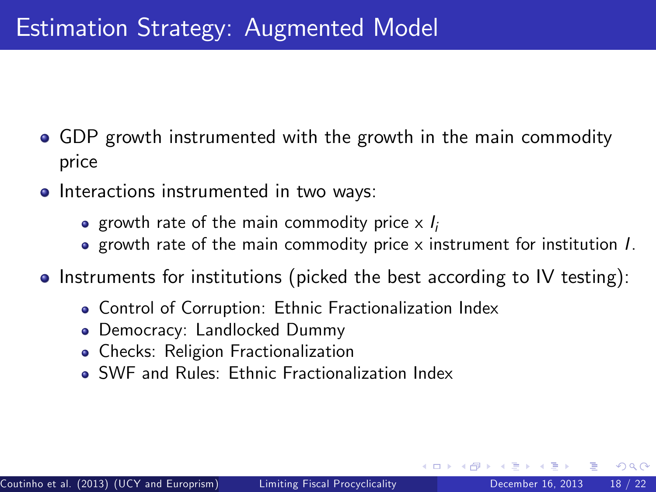- GDP growth instrumented with the growth in the main commodity price
- Interactions instrumented in two ways:
	- **•** growth rate of the main commodity price  $\times$   $I_i$
	- $\bullet$  growth rate of the main commodity price x instrument for institution *I*.
- Instruments for institutions (picked the best according to IV testing):
	- Control of Corruption: Ethnic Fractionalization Index
	- Democracy: Landlocked Dummy
	- **Checks: Religion Fractionalization**
	- SWF and Rules: Ethnic Fractionalization Index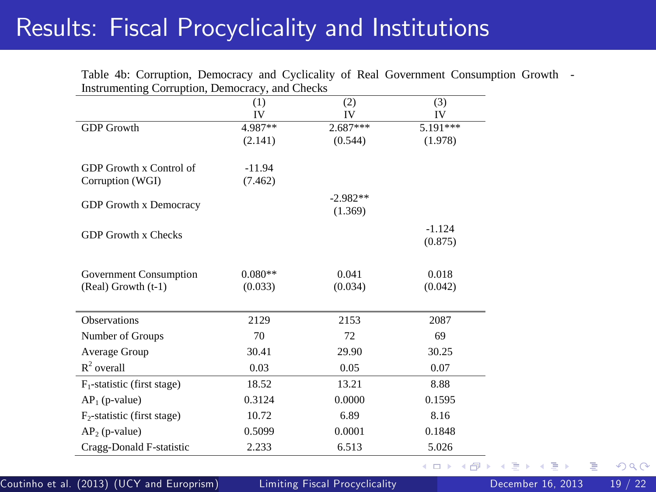#### Results: Fiscal Procyclicality and Institutions

|                                | (1)       | (2)        | (3)        |
|--------------------------------|-----------|------------|------------|
|                                | IV        | IV         | IV         |
| <b>GDP</b> Growth              | 4.987**   | $2.687***$ | $5.191***$ |
|                                | (2.141)   | (0.544)    | (1.978)    |
| GDP Growth x Control of        | $-11.94$  |            |            |
| Corruption (WGI)               | (7.462)   |            |            |
|                                |           | $-2.982**$ |            |
| GDP Growth x Democracy         |           | (1.369)    |            |
|                                |           |            | $-1.124$   |
| <b>GDP Growth x Checks</b>     |           |            | (0.875)    |
| Government Consumption         | $0.080**$ | 0.041      | 0.018      |
| (Real) Growth (t-1)            | (0.033)   | (0.034)    | (0.042)    |
| <b>Observations</b>            | 2129      | 2153       | 2087       |
| Number of Groups               | 70        | 72         | 69         |
| Average Group                  | 30.41     | 29.90      | 30.25      |
| $R^2$ overall                  | 0.03      | 0.05       | 0.07       |
| $F_1$ -statistic (first stage) | 18.52     | 13.21      | 8.88       |
| $AP1$ (p-value)                | 0.3124    | 0.0000     | 0.1595     |
| $F2$ -statistic (first stage)  | 10.72     | 6.89       | 8.16       |
| $AP2$ (p-value)                | 0.5099    | 0.0001     | 0.1848     |
| Cragg-Donald F-statistic       | 2.233     | 6.513      | 5.026      |

Table 4b: Corruption, Democracy and Cyclicality of Real Government Consumption Growth -

 $200$ 

э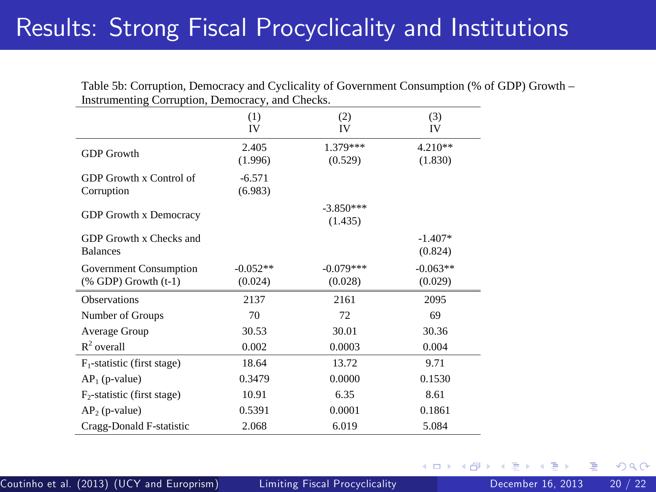### Results: Strong Fiscal Procyclicality and Institutions

| able bol contaption; Benforte, and Cycheanty of Coveniment Constant phone (70 G<br>Instrumenting Corruption, Democracy, and Checks. |                       |                        |                       |  |  |
|-------------------------------------------------------------------------------------------------------------------------------------|-----------------------|------------------------|-----------------------|--|--|
|                                                                                                                                     | (1)<br>IV             | (2)<br>IV              | (3)<br>IV             |  |  |
| <b>GDP</b> Growth                                                                                                                   | 2.405<br>(1.996)      | 1.379***<br>(0.529)    | $4.210**$<br>(1.830)  |  |  |
| GDP Growth x Control of                                                                                                             | $-6.571$              |                        |                       |  |  |
| Corruption                                                                                                                          | (6.983)               |                        |                       |  |  |
| GDP Growth x Democracy                                                                                                              |                       | $-3.850***$<br>(1.435) |                       |  |  |
| GDP Growth x Checks and<br><b>Balances</b>                                                                                          |                       |                        | $-1.407*$<br>(0.824)  |  |  |
| Government Consumption<br>$(% \mathcal{L}_{0})$ GDP) Growth $(t-1)$                                                                 | $-0.052**$<br>(0.024) | $-0.079***$<br>(0.028) | $-0.063**$<br>(0.029) |  |  |
| <b>Observations</b>                                                                                                                 | 2137                  | 2161                   | 2095                  |  |  |
| Number of Groups                                                                                                                    | 70                    | 72                     | 69                    |  |  |
| Average Group                                                                                                                       | 30.53                 | 30.01                  | 30.36                 |  |  |
| $R^2$ overall                                                                                                                       | 0.002                 | 0.0003                 | 0.004                 |  |  |
| $F_1$ -statistic (first stage)                                                                                                      | 18.64                 | 13.72                  | 9.71                  |  |  |
| $AP_1$ (p-value)                                                                                                                    | 0.3479                | 0.0000                 | 0.1530                |  |  |
| $F_2$ -statistic (first stage)                                                                                                      | 10.91                 | 6.35                   | 8.61                  |  |  |
| $AP2$ (p-value)                                                                                                                     | 0.5391                | 0.0001                 | 0.1861                |  |  |
| Cragg-Donald F-statistic                                                                                                            | 2.068                 | 6.019                  | 5.084                 |  |  |

Table 5b: Corruption, Democracy and Cyclicality of Government Consumption (% of GDP) Growth –

<span id="page-52-0"></span>4 0 8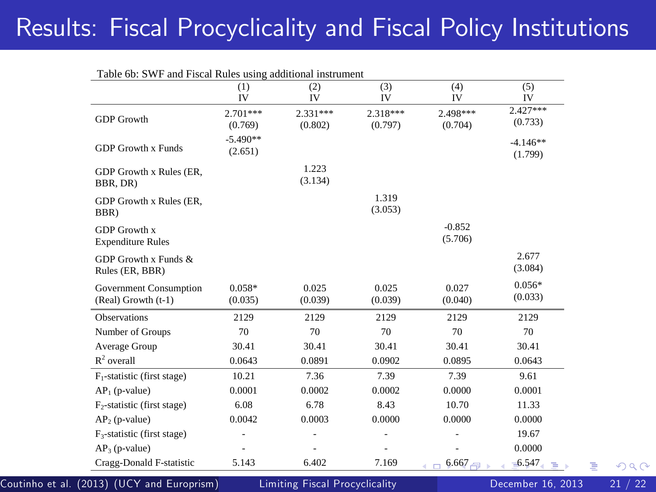## Results: Fiscal Procyclicality and Fiscal Policy Institutions

|                                                      | (1)<br>IV             | (2)<br>IV           | (3)<br>IV           | (4)<br>IV           | (5)<br>IV             |
|------------------------------------------------------|-----------------------|---------------------|---------------------|---------------------|-----------------------|
| <b>GDP</b> Growth                                    | 2.701***<br>(0.769)   | 2.331***<br>(0.802) | 2.318***<br>(0.797) | 2.498***<br>(0.704) | $2.427***$<br>(0.733) |
| GDP Growth x Funds                                   | $-5.490**$<br>(2.651) |                     |                     |                     | $-4.146**$<br>(1.799) |
| GDP Growth x Rules (ER,<br>BBR, DR)                  |                       | 1.223<br>(3.134)    |                     |                     |                       |
| GDP Growth x Rules (ER,<br>BBR)                      |                       |                     | 1.319<br>(3.053)    |                     |                       |
| GDP Growth x<br><b>Expenditure Rules</b>             |                       |                     |                     | $-0.852$<br>(5.706) |                       |
| GDP Growth x Funds &<br>Rules (ER, BBR)              |                       |                     |                     |                     | 2.677<br>(3.084)      |
| <b>Government Consumption</b><br>(Real) Growth (t-1) | $0.058*$<br>(0.035)   | 0.025<br>(0.039)    | 0.025<br>(0.039)    | 0.027<br>(0.040)    | $0.056*$<br>(0.033)   |
| Observations                                         | 2129                  | 2129                | 2129                | 2129                | 2129                  |
| Number of Groups                                     | 70                    | 70                  | 70                  | 70                  | 70                    |
| Average Group                                        | 30.41                 | 30.41               | 30.41               | 30.41               | 30.41                 |
| $R^2$ overall                                        | 0.0643                | 0.0891              | 0.0902              | 0.0895              | 0.0643                |
| $F_1$ -statistic (first stage)                       | 10.21                 | 7.36                | 7.39                | 7.39                | 9.61                  |
| $AP_1$ (p-value)                                     | 0.0001                | 0.0002              | 0.0002              | 0.0000              | 0.0001                |
| $F_2$ -statistic (first stage)                       | 6.08                  | 6.78                | 8.43                | 10.70               | 11.33                 |
| $AP2$ (p-value)                                      | 0.0042                | 0.0003              | 0.0000              | 0.0000              | 0.0000                |
| $F_3$ -statistic (first stage)                       |                       |                     |                     |                     | 19.67                 |
| $AP_3$ (p-value)                                     |                       |                     |                     |                     | 0.0000                |
| Cragg-Donald F-statistic                             | 5.143                 | 6.402               | 7.169               | $6.667 =$           | $-6.547$              |

Coutinho et al. (2013) (UCY and Europrism) [Limiting Fiscal Procyclicality](#page--1-0) December 16, 2013 21 / 22

<span id="page-53-0"></span>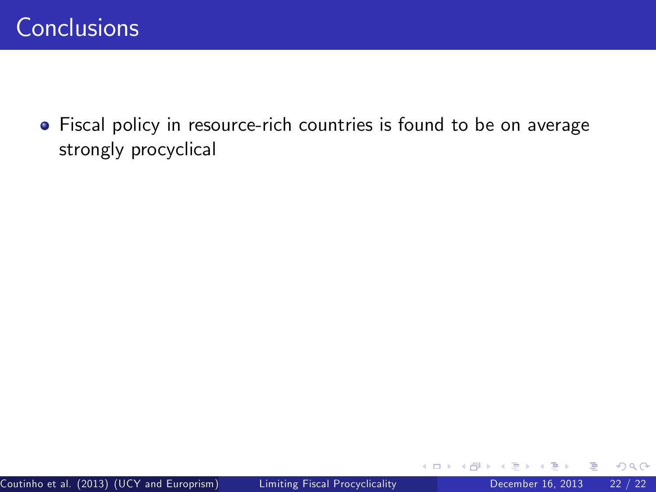Fiscal policy in resource-rich countries is found to be on average strongly procyclical

<span id="page-54-0"></span>4 0 8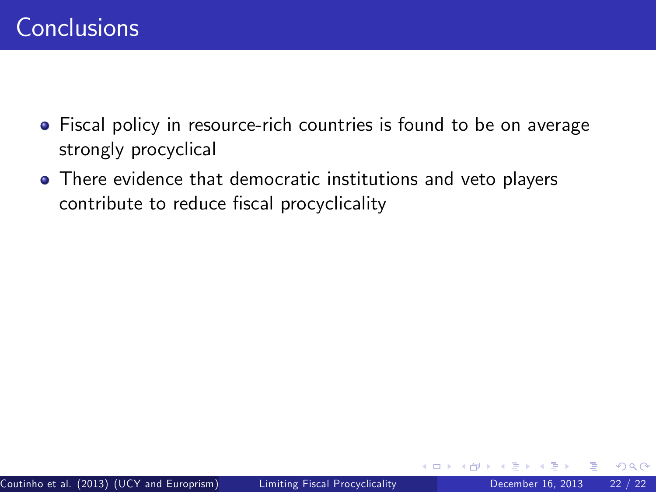- Fiscal policy in resource-rich countries is found to be on average strongly procyclical
- There evidence that democratic institutions and veto players contribute to reduce fiscal procyclicality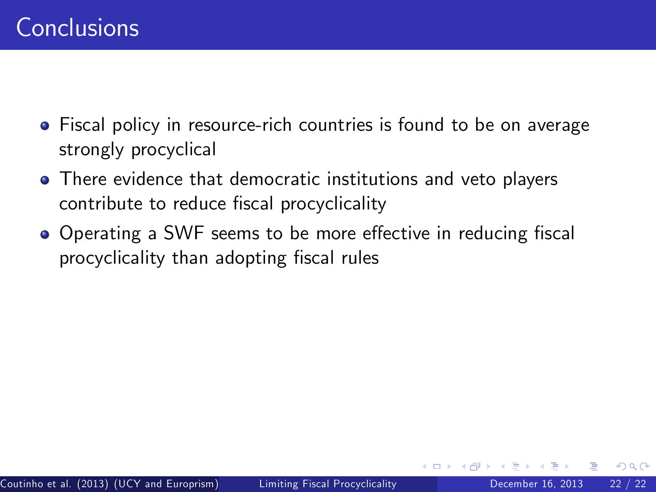- Fiscal policy in resource-rich countries is found to be on average strongly procyclical
- There evidence that democratic institutions and veto players contribute to reduce fiscal procyclicality
- Operating a SWF seems to be more effective in reducing fiscal procyclicality than adopting fiscal rules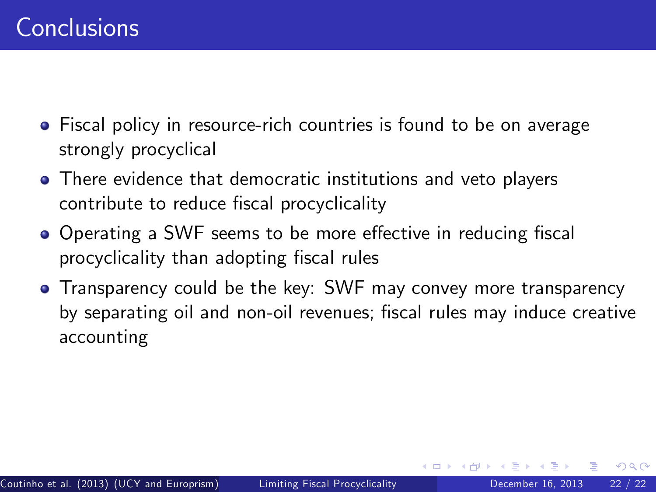- Fiscal policy in resource-rich countries is found to be on average strongly procyclical
- There evidence that democratic institutions and veto players contribute to reduce fiscal procyclicality
- Operating a SWF seems to be more effective in reducing fiscal procyclicality than adopting fiscal rules
- Transparency could be the key: SWF may convey more transparency by separating oil and non-oil revenues; fiscal rules may induce creative accounting